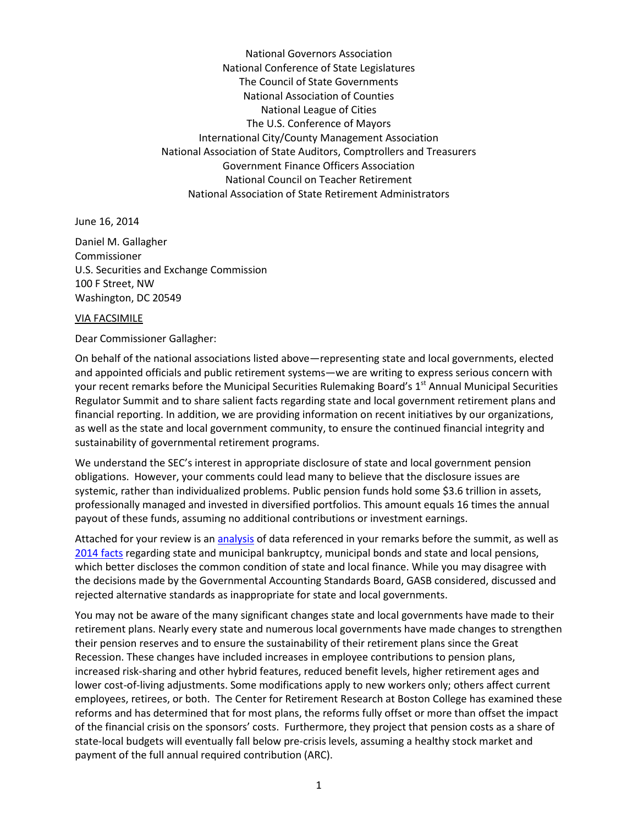National Governors Association National Conference of State Legislatures The Council of State Governments National Association of Counties National League of Cities The U.S. Conference of Mayors International City/County Management Association National Association of State Auditors, Comptrollers and Treasurers Government Finance Officers Association National Council on Teacher Retirement National Association of State Retirement Administrators

June 16, 2014

Daniel M. Gallagher Commissioner U.S. Securities and Exchange Commission 100 F Street, NW Washington, DC 20549

## VIA FACSIMILE

## Dear Commissioner Gallagher:

On behalf of the national associations listed above—representing state and local governments, elected and appointed officials and public retirement systems—we are writing to express serious concern with your recent remarks before the Municipal Securities Rulemaking Board's 1<sup>st</sup> Annual Municipal Securities Regulator Summit and to share salient facts regarding state and local government retirement plans and financial reporting. In addition, we are providing information on recent initiatives by our organizations, as well as the state and local government community, to ensure the continued financial integrity and sustainability of governmental retirement programs.

We understand the SEC's interest in appropriate disclosure of state and local government pension obligations. However, your comments could lead many to believe that the disclosure issues are systemic, rather than individualized problems. Public pension funds hold some \$3.6 trillion in assets, professionally managed and invested in diversified portfolios. This amount equals 16 times the annual payout of these funds, assuming no additional contributions or investment earnings.

Attached for your review is an [analysis](http://www.nasra.org/files/Issue%20Briefs/Rauh-Novy-MarxCritiquePART2.pdf) of data referenced in your remarks before the summit, as well as [2014 facts](http://www.nasra.org/files/JointPublications/FactsYouShouldKnow.pdf) regarding state and municipal bankruptcy, municipal bonds and state and local pensions, which better discloses the common condition of state and local finance. While you may disagree with the decisions made by the Governmental Accounting Standards Board, GASB considered, discussed and rejected alternative standards as inappropriate for state and local governments.

You may not be aware of the many significant changes state and local governments have made to their retirement plans. Nearly every state and numerous local governments have made changes to strengthen their pension reserves and to ensure the sustainability of their retirement plans since the Great Recession. These changes have included increases in employee contributions to pension plans, increased risk-sharing and other hybrid features, reduced benefit levels, higher retirement ages and lower cost-of-living adjustments. Some modifications apply to new workers only; others affect current employees, retirees, or both. The Center for Retirement Research at Boston College has examined these reforms and has determined that for most plans, the reforms fully offset or more than offset the impact of the financial crisis on the sponsors' costs. Furthermore, they project that pension costs as a share of state-local budgets will eventually fall below pre-crisis levels, assuming a healthy stock market and payment of the full annual required contribution (ARC).